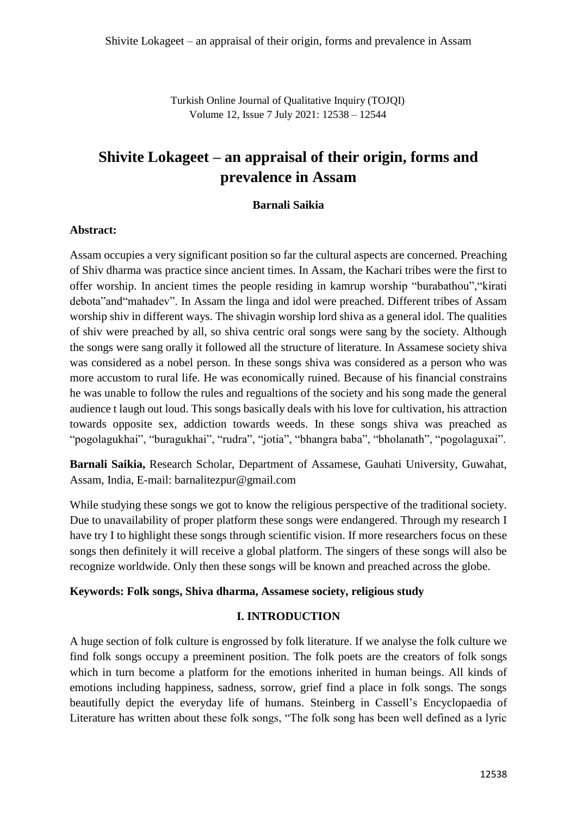Turkish Online Journal of Qualitative Inquiry (TOJQI) Volume 12, Issue 7 July 2021: 12538 – 12544

# **Shivite Lokageet – an appraisal of their origin, forms and prevalence in Assam**

## **Barnali Saikia**

## **Abstract:**

Assam occupies a very significant position so far the cultural aspects are concerned. Preaching of Shiv dharma was practice since ancient times. In Assam, the Kachari tribes were the first to offer worship. In ancient times the people residing in kamrup worship "burabathou","kirati debota"and"mahadev". In Assam the linga and idol were preached. Different tribes of Assam worship shiv in different ways. The shivagin worship lord shiva as a general idol. The qualities of shiv were preached by all, so shiva centric oral songs were sang by the society. Although the songs were sang orally it followed all the structure of literature. In Assamese society shiva was considered as a nobel person. In these songs shiva was considered as a person who was more accustom to rural life. He was economically ruined. Because of his financial constrains he was unable to follow the rules and regualtions of the society and his song made the general audience t laugh out loud. This songs basically deals with his love for cultivation, his attraction towards opposite sex, addiction towards weeds. In these songs shiva was preached as "pogolagukhai", "buragukhai", "rudra", "jotia", "bhangra baba", "bholanath", "pogolaguxai".

**Barnali Saikia,** Research Scholar, Department of Assamese, Gauhati University, Guwahat, Assam, India, E-mail: barnalitezpur@gmail.com

While studying these songs we got to know the religious perspective of the traditional society. Due to unavailability of proper platform these songs were endangered. Through my research I have try I to highlight these songs through scientific vision. If more researchers focus on these songs then definitely it will receive a global platform. The singers of these songs will also be recognize worldwide. Only then these songs will be known and preached across the globe.

# **Keywords: Folk songs, Shiva dharma, Assamese society, religious study**

# **I. INTRODUCTION**

A huge section of folk culture is engrossed by folk literature. If we analyse the folk culture we find folk songs occupy a preeminent position. The folk poets are the creators of folk songs which in turn become a platform for the emotions inherited in human beings. All kinds of emotions including happiness, sadness, sorrow, grief find a place in folk songs. The songs beautifully depict the everyday life of humans. Steinberg in Cassell's Encyclopaedia of Literature has written about these folk songs, "The folk song has been well defined as a lyric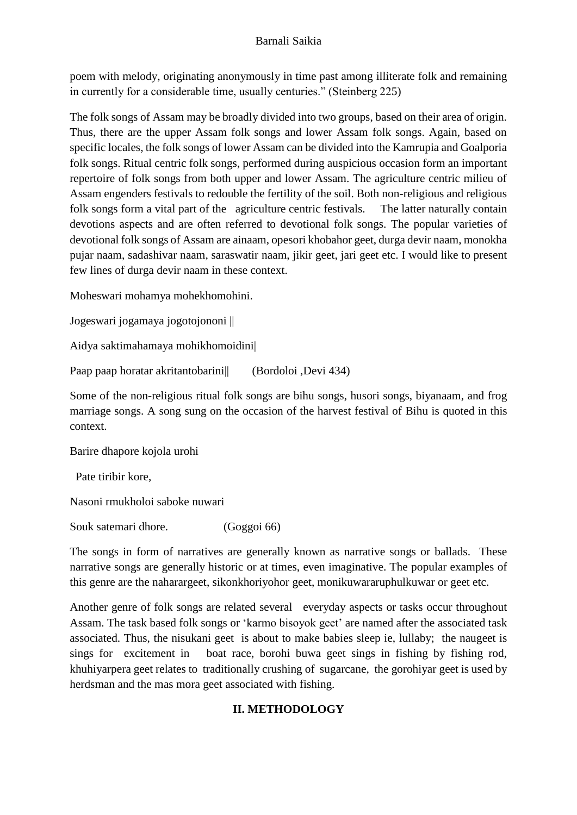# Barnali Saikia

poem with melody, originating anonymously in time past among illiterate folk and remaining in currently for a considerable time, usually centuries." (Steinberg 225)

The folk songs of Assam may be broadly divided into two groups, based on their area of origin. Thus, there are the upper Assam folk songs and lower Assam folk songs. Again, based on specific locales, the folk songs of lower Assam can be divided into the Kamrupia and Goalporia folk songs. Ritual centric folk songs, performed during auspicious occasion form an important repertoire of folk songs from both upper and lower Assam. The agriculture centric milieu of Assam engenders festivals to redouble the fertility of the soil. Both non-religious and religious folk songs form a vital part of the agriculture centric festivals. The latter naturally contain devotions aspects and are often referred to devotional folk songs. The popular varieties of devotional folk songs of Assam are ainaam, opesori khobahor geet, durga devir naam, monokha pujar naam, sadashivar naam, saraswatir naam, jikir geet, jari geet etc. I would like to present few lines of durga devir naam in these context.

Moheswari mohamya mohekhomohini.

Jogeswari jogamaya jogotojononi ||

Aidya saktimahamaya mohikhomoidini|

Paap paap horatar akritantobarini|| (Bordoloi ,Devi 434)

Some of the non-religious ritual folk songs are bihu songs, husori songs, biyanaam, and frog marriage songs. A song sung on the occasion of the harvest festival of Bihu is quoted in this context.

Barire dhapore kojola urohi

Pate tiribir kore,

Nasoni rmukholoi saboke nuwari

Souk satemari dhore. (Goggoi 66)

The songs in form of narratives are generally known as narrative songs or ballads. These narrative songs are generally historic or at times, even imaginative. The popular examples of this genre are the naharargeet, sikonkhoriyohor geet, monikuwararuphulkuwar or geet etc.

Another genre of folk songs are related several everyday aspects or tasks occur throughout Assam. The task based folk songs or 'karmo bisoyok geet' are named after the associated task associated. Thus, the nisukani geet is about to make babies sleep ie, lullaby; the naugeet is sings for excitement in boat race, borohi buwa geet sings in fishing by fishing rod, khuhiyarpera geet relates to traditionally crushing of sugarcane, the gorohiyar geet is used by herdsman and the mas mora geet associated with fishing.

# **II. METHODOLOGY**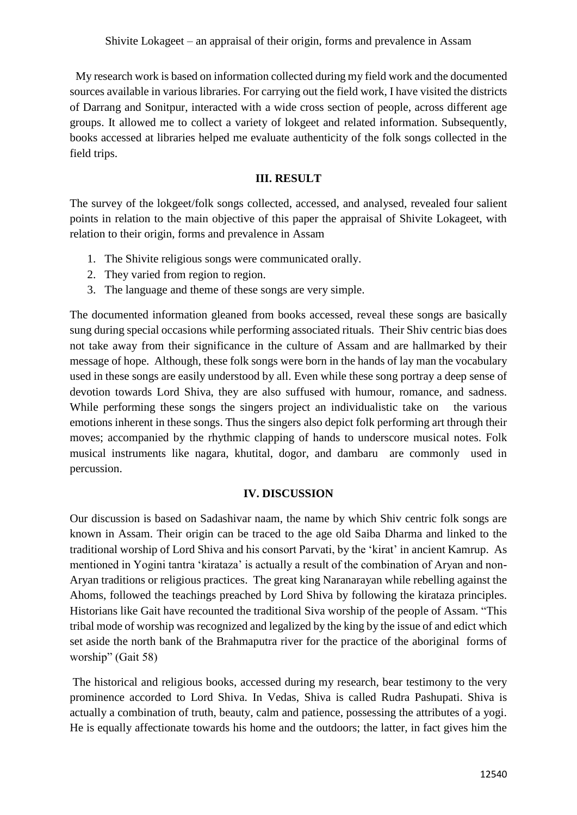My research work is based on information collected during my field work and the documented sources available in various libraries. For carrying out the field work, I have visited the districts of Darrang and Sonitpur, interacted with a wide cross section of people, across different age groups. It allowed me to collect a variety of lokgeet and related information. Subsequently, books accessed at libraries helped me evaluate authenticity of the folk songs collected in the field trips.

## **III. RESULT**

The survey of the lokgeet/folk songs collected, accessed, and analysed, revealed four salient points in relation to the main objective of this paper the appraisal of Shivite Lokageet, with relation to their origin, forms and prevalence in Assam

- 1. The Shivite religious songs were communicated orally.
- 2. They varied from region to region.
- 3. The language and theme of these songs are very simple.

The documented information gleaned from books accessed, reveal these songs are basically sung during special occasions while performing associated rituals. Their Shiv centric bias does not take away from their significance in the culture of Assam and are hallmarked by their message of hope. Although, these folk songs were born in the hands of lay man the vocabulary used in these songs are easily understood by all. Even while these song portray a deep sense of devotion towards Lord Shiva, they are also suffused with humour, romance, and sadness. While performing these songs the singers project an individualistic take on the various emotions inherent in these songs. Thus the singers also depict folk performing art through their moves; accompanied by the rhythmic clapping of hands to underscore musical notes. Folk musical instruments like nagara, khutital, dogor, and dambaru are commonly used in percussion.

#### **IV. DISCUSSION**

Our discussion is based on Sadashivar naam, the name by which Shiv centric folk songs are known in Assam. Their origin can be traced to the age old Saiba Dharma and linked to the traditional worship of Lord Shiva and his consort Parvati, by the 'kirat' in ancient Kamrup. As mentioned in Yogini tantra 'kirataza' is actually a result of the combination of Aryan and non-Aryan traditions or religious practices. The great king Naranarayan while rebelling against the Ahoms, followed the teachings preached by Lord Shiva by following the kirataza principles. Historians like Gait have recounted the traditional Siva worship of the people of Assam. "This tribal mode of worship was recognized and legalized by the king by the issue of and edict which set aside the north bank of the Brahmaputra river for the practice of the aboriginal forms of worship" (Gait 58)

The historical and religious books, accessed during my research, bear testimony to the very prominence accorded to Lord Shiva. In Vedas, Shiva is called Rudra Pashupati. Shiva is actually a combination of truth, beauty, calm and patience, possessing the attributes of a yogi. He is equally affectionate towards his home and the outdoors; the latter, in fact gives him the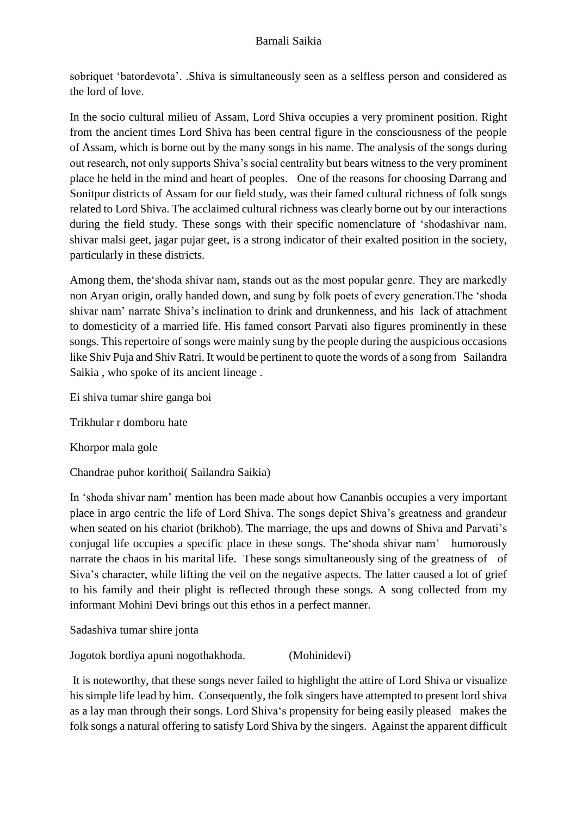sobriquet 'batordevota'. .Shiva is simultaneously seen as a selfless person and considered as the lord of love.

In the socio cultural milieu of Assam, Lord Shiva occupies a very prominent position. Right from the ancient times Lord Shiva has been central figure in the consciousness of the people of Assam, which is borne out by the many songs in his name. The analysis of the songs during out research, not only supports Shiva's social centrality but bears witness to the very prominent place he held in the mind and heart of peoples. One of the reasons for choosing Darrang and Sonitpur districts of Assam for our field study, was their famed cultural richness of folk songs related to Lord Shiva. The acclaimed cultural richness was clearly borne out by our interactions during the field study. These songs with their specific nomenclature of 'shodashivar nam, shivar malsi geet, jagar pujar geet, is a strong indicator of their exalted position in the society, particularly in these districts.

Among them, the'shoda shivar nam, stands out as the most popular genre. They are markedly non Aryan origin, orally handed down, and sung by folk poets of every generation.The 'shoda shivar nam' narrate Shiva's inclination to drink and drunkenness, and his lack of attachment to domesticity of a married life. His famed consort Parvati also figures prominently in these songs. This repertoire of songs were mainly sung by the people during the auspicious occasions like Shiv Puja and Shiv Ratri. It would be pertinent to quote the words of a song from Sailandra Saikia , who spoke of its ancient lineage .

Ei shiva tumar shire ganga boi

Trikhular r domboru hate

Khorpor mala gole

Chandrae puhor korithoi( Sailandra Saikia)

In 'shoda shivar nam' mention has been made about how Cananbis occupies a very important place in argo centric the life of Lord Shiva. The songs depict Shiva's greatness and grandeur when seated on his chariot (brikhob). The marriage, the ups and downs of Shiva and Parvati's conjugal life occupies a specific place in these songs. The'shoda shivar nam' humorously narrate the chaos in his marital life. These songs simultaneously sing of the greatness of of Siva's character, while lifting the veil on the negative aspects. The latter caused a lot of grief to his family and their plight is reflected through these songs. A song collected from my informant Mohini Devi brings out this ethos in a perfect manner.

Sadashiva tumar shire jonta

Jogotok bordiya apuni nogothakhoda. (Mohinidevi)

It is noteworthy, that these songs never failed to highlight the attire of Lord Shiva or visualize his simple life lead by him. Consequently, the folk singers have attempted to present lord shiva as a lay man through their songs. Lord Shiva's propensity for being easily pleased makes the folk songs a natural offering to satisfy Lord Shiva by the singers. Against the apparent difficult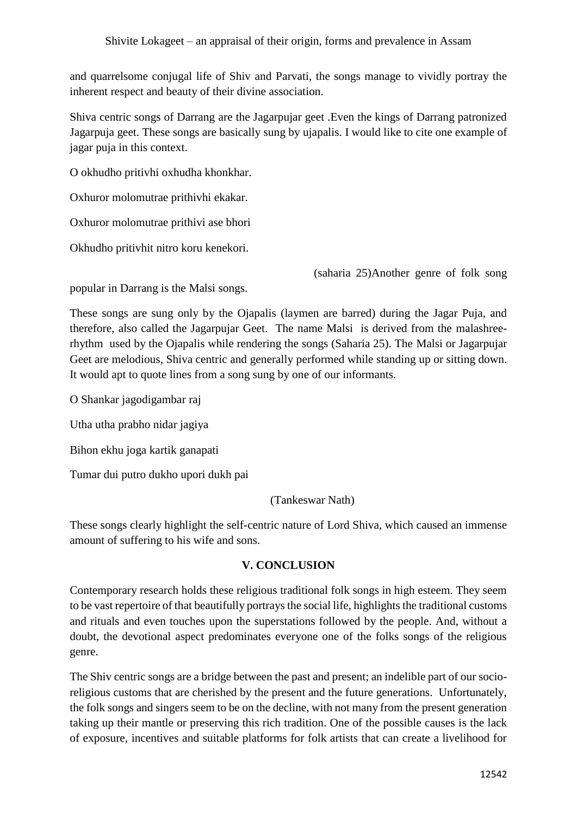and quarrelsome conjugal life of Shiv and Parvati, the songs manage to vividly portray the inherent respect and beauty of their divine association.

Shiva centric songs of Darrang are the Jagarpujar geet .Even the kings of Darrang patronized Jagarpuja geet. These songs are basically sung by ujapalis. I would like to cite one example of jagar puja in this context.

O okhudho pritivhi oxhudha khonkhar.

Oxhuror molomutrae prithivhi ekakar.

Oxhuror molomutrae prithivi ase bhori

Okhudho pritivhit nitro koru kenekori.

(saharia 25)Another genre of folk song

popular in Darrang is the Malsi songs.

These songs are sung only by the Ojapalis (laymen are barred) during the Jagar Puja, and therefore, also called the Jagarpujar Geet. The name Malsi is derived from the malashreerhythm used by the Ojapalis while rendering the songs (Saharia 25). The Malsi or Jagarpujar Geet are melodious, Shiva centric and generally performed while standing up or sitting down. It would apt to quote lines from a song sung by one of our informants.

O Shankar jagodigambar raj

Utha utha prabho nidar jagiya

Bihon ekhu joga kartik ganapati

Tumar dui putro dukho upori dukh pai

(Tankeswar Nath)

These songs clearly highlight the self-centric nature of Lord Shiva, which caused an immense amount of suffering to his wife and sons.

# **V. CONCLUSION**

Contemporary research holds these religious traditional folk songs in high esteem. They seem to be vast repertoire of that beautifully portrays the social life, highlights the traditional customs and rituals and even touches upon the superstations followed by the people. And, without a doubt, the devotional aspect predominates everyone one of the folks songs of the religious genre.

The Shiv centric songs are a bridge between the past and present; an indelible part of our socioreligious customs that are cherished by the present and the future generations. Unfortunately, the folk songs and singers seem to be on the decline, with not many from the present generation taking up their mantle or preserving this rich tradition. One of the possible causes is the lack of exposure, incentives and suitable platforms for folk artists that can create a livelihood for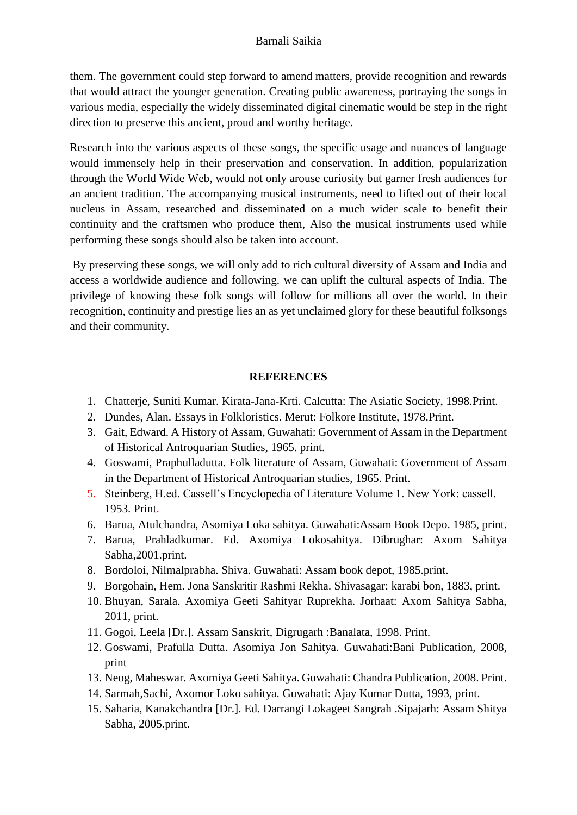them. The government could step forward to amend matters, provide recognition and rewards that would attract the younger generation. Creating public awareness, portraying the songs in various media, especially the widely disseminated digital cinematic would be step in the right direction to preserve this ancient, proud and worthy heritage.

Research into the various aspects of these songs, the specific usage and nuances of language would immensely help in their preservation and conservation. In addition, popularization through the World Wide Web, would not only arouse curiosity but garner fresh audiences for an ancient tradition. The accompanying musical instruments, need to lifted out of their local nucleus in Assam, researched and disseminated on a much wider scale to benefit their continuity and the craftsmen who produce them, Also the musical instruments used while performing these songs should also be taken into account.

By preserving these songs, we will only add to rich cultural diversity of Assam and India and access a worldwide audience and following. we can uplift the cultural aspects of India. The privilege of knowing these folk songs will follow for millions all over the world. In their recognition, continuity and prestige lies an as yet unclaimed glory for these beautiful folksongs and their community.

## **REFERENCES**

- 1. Chatterje, Suniti Kumar. Kirata-Jana-Krti. Calcutta: The Asiatic Society, 1998.Print.
- 2. Dundes, Alan. Essays in Folkloristics. Merut: Folkore Institute, 1978.Print.
- 3. Gait, Edward. A History of Assam, Guwahati: Government of Assam in the Department of Historical Antroquarian Studies, 1965. print.
- 4. Goswami, Praphulladutta. Folk literature of Assam, Guwahati: Government of Assam in the Department of Historical Antroquarian studies, 1965. Print.
- 5. Steinberg, H.ed. Cassell's Encyclopedia of Literature Volume 1. New York: cassell. 1953. Print.
- 6. Barua, Atulchandra, Asomiya Loka sahitya. Guwahati:Assam Book Depo. 1985, print.
- 7. Barua, Prahladkumar. Ed. Axomiya Lokosahitya. Dibrughar: Axom Sahitya Sabha,2001.print.
- 8. Bordoloi, Nilmalprabha. Shiva. Guwahati: Assam book depot, 1985.print.
- 9. Borgohain, Hem. Jona Sanskritir Rashmi Rekha. Shivasagar: karabi bon, 1883, print.
- 10. Bhuyan, Sarala. Axomiya Geeti Sahityar Ruprekha. Jorhaat: Axom Sahitya Sabha, 2011, print.
- 11. Gogoi, Leela [Dr.]. Assam Sanskrit, Digrugarh :Banalata, 1998. Print.
- 12. Goswami, Prafulla Dutta. Asomiya Jon Sahitya. Guwahati:Bani Publication, 2008, print
- 13. Neog, Maheswar. Axomiya Geeti Sahitya. Guwahati: Chandra Publication, 2008. Print.
- 14. Sarmah,Sachi, Axomor Loko sahitya. Guwahati: Ajay Kumar Dutta, 1993, print.
- 15. Saharia, Kanakchandra [Dr.]. Ed. Darrangi Lokageet Sangrah .Sipajarh: Assam Shitya Sabha, 2005.print.